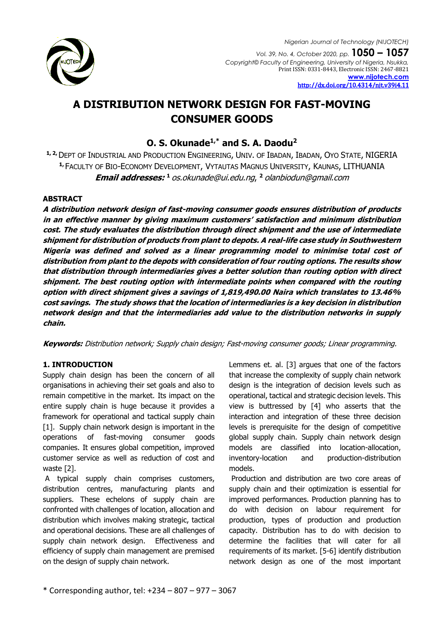

# **A DISTRIBUTION NETWORK DESIGN FOR FAST-MOVING CONSUMER GOODS**

## **O. S. Okunade1,\* and S. A. Daodu<sup>2</sup>**

**1, 2,**DEPT OF INDUSTRIAL AND PRODUCTION ENGINEERING, UNIV. OF IBADAN, IBADAN, OYO STATE, NIGERIA **1,** FACULTY OF BIO-ECONOMY DEVELOPMENT, VYTAUTAS MAGNUS UNIVERSITY, KAUNAS, LITHUANIA **Email addresses: <sup>1</sup>**[os.okunade@ui.edu.ng](mailto:1%20os.okunade@ui.edu.ng), **<sup>2</sup>** olanbiodun@gmail.com

## **ABSTRACT**

**A distribution network design of fast-moving consumer goods ensures distribution of products in an effective manner by giving maximum customers' satisfaction and minimum distribution cost. The study evaluates the distribution through direct shipment and the use of intermediate shipment for distribution of products from plant to depots. A real-life case study in Southwestern Nigeria was defined and solved as a linear programming model to minimise total cost of distribution from plant to the depots with consideration of four routing options. The results show that distribution through intermediaries gives a better solution than routing option with direct shipment. The best routing option with intermediate points when compared with the routing option with direct shipment gives a savings of 1,819,490.00 Naira which translates to 13.46% cost savings. The study shows that the location of intermediaries is a key decision in distribution network design and that the intermediaries add value to the distribution networks in supply chain.** 

**Keywords:** Distribution network; Supply chain design; Fast-moving consumer goods; Linear programming.

## **1. INTRODUCTION**

Supply chain design has been the concern of all organisations in achieving their set goals and also to remain competitive in the market. Its impact on the entire supply chain is huge because it provides a framework for operational and tactical supply chain [1]. Supply chain network design is important in the operations of fast-moving consumer goods companies. It ensures global competition, improved customer service as well as reduction of cost and waste [2].

A typical supply chain comprises customers, distribution centres, manufacturing plants and suppliers. These echelons of supply chain are confronted with challenges of location, allocation and distribution which involves making strategic, tactical and operational decisions. These are all challenges of supply chain network design. Effectiveness and efficiency of supply chain management are premised on the design of supply chain network.

Lemmens et. al. [3] argues that one of the factors that increase the complexity of supply chain network design is the integration of decision levels such as operational, tactical and strategic decision levels. This view is buttressed by [4] who asserts that the interaction and integration of these three decision levels is prerequisite for the design of competitive global supply chain. Supply chain network design models are classified into location-allocation, inventory-location and production-distribution models.

Production and distribution are two core areas of supply chain and their optimization is essential for improved performances. Production planning has to do with decision on labour requirement for production, types of production and production capacity. Distribution has to do with decision to determine the facilities that will cater for all requirements of its market. [5-6] identify distribution network design as one of the most important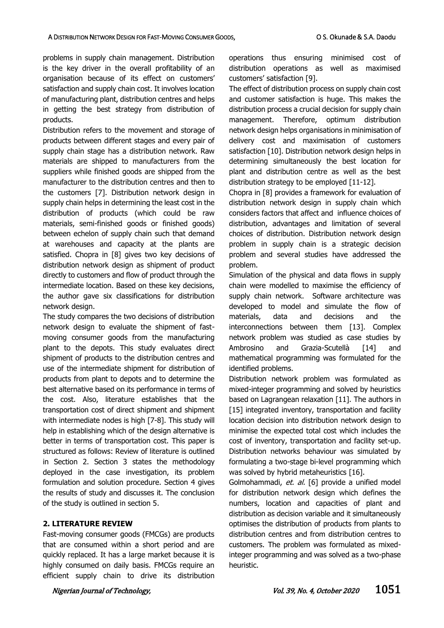problems in supply chain management. Distribution is the key driver in the overall profitability of an organisation because of its effect on customers' satisfaction and supply chain cost. It involves location of manufacturing plant, distribution centres and helps in getting the best strategy from distribution of products.

Distribution refers to the movement and storage of products between different stages and every pair of supply chain stage has a distribution network. Raw materials are shipped to manufacturers from the suppliers while finished goods are shipped from the manufacturer to the distribution centres and then to the customers [7]. Distribution network design in supply chain helps in determining the least cost in the distribution of products (which could be raw materials, semi-finished goods or finished goods) between echelon of supply chain such that demand at warehouses and capacity at the plants are satisfied. Chopra in [8] gives two key decisions of distribution network design as shipment of product directly to customers and flow of product through the intermediate location. Based on these key decisions, the author gave six classifications for distribution network design.

The study compares the two decisions of distribution network design to evaluate the shipment of fastmoving consumer goods from the manufacturing plant to the depots. This study evaluates direct shipment of products to the distribution centres and use of the intermediate shipment for distribution of products from plant to depots and to determine the best alternative based on its performance in terms of the cost. Also, literature establishes that the transportation cost of direct shipment and shipment with intermediate nodes is high [7-8]. This study will help in establishing which of the design alternative is better in terms of transportation cost. This paper is structured as follows: Review of literature is outlined in Section 2. Section 3 states the methodology deployed in the case investigation, its problem formulation and solution procedure. Section 4 gives the results of study and discusses it. The conclusion of the study is outlined in section 5.

### **2. LITERATURE REVIEW**

Fast-moving consumer goods (FMCGs) are products that are consumed within a short period and are quickly replaced. It has a large market because it is highly consumed on daily basis. FMCGs require an efficient supply chain to drive its distribution

operations thus ensuring minimised cost of distribution operations as well as maximised customers' satisfaction [9].

The effect of distribution process on supply chain cost and customer satisfaction is huge. This makes the distribution process a crucial decision for supply chain management. Therefore, optimum distribution network design helps organisations in minimisation of delivery cost and maximisation of customers satisfaction [10]. Distribution network design helps in determining simultaneously the best location for plant and distribution centre as well as the best distribution strategy to be employed [11-12].

Chopra in [8] provides a framework for evaluation of distribution network design in supply chain which considers factors that affect and influence choices of distribution, advantages and limitation of several choices of distribution. Distribution network design problem in supply chain is a strategic decision problem and several studies have addressed the problem.

Simulation of the physical and data flows in supply chain were modelled to maximise the efficiency of supply chain network. Software architecture was developed to model and simulate the flow of materials, data and decisions and the interconnections between them [13]. Complex network problem was studied as case studies by Ambrosino and Grazia-Scutellà [14] and mathematical programming was formulated for the identified problems.

Distribution network problem was formulated as mixed-integer programming and solved by heuristics based on Lagrangean relaxation [11]. The authors in [15] integrated inventory, transportation and facility location decision into distribution network design to minimise the expected total cost which includes the cost of inventory, transportation and facility set-up. Distribution networks behaviour was simulated by formulating a two-stage bi-level programming which was solved by hybrid metaheuristics [16].

Golmohammadi, et. al. [6] provide a unified model for distribution network design which defines the numbers, location and capacities of plant and distribution as decision variable and it simultaneously optimises the distribution of products from plants to distribution centres and from distribution centres to customers. The problem was formulated as mixedinteger programming and was solved as a two-phase heuristic.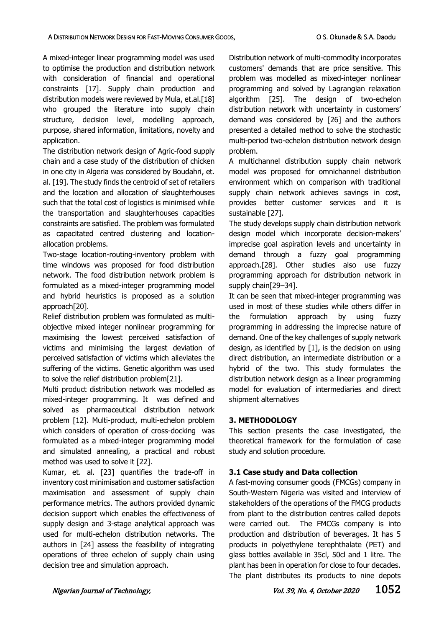A mixed-integer linear programming model was used to optimise the production and distribution network with consideration of financial and operational constraints [17]. Supply chain production and distribution models were reviewed by Mula, et.al.[18] who grouped the literature into supply chain structure, decision level, modelling approach, purpose, shared information, limitations, novelty and application.

The distribution network design of Agric-food supply chain and a case study of the distribution of chicken in one city in Algeria was considered by Boudahri, et. al. [19]. The study finds the centroid of set of retailers and the location and allocation of slaughterhouses such that the total cost of logistics is minimised while the transportation and slaughterhouses capacities constraints are satisfied. The problem was formulated as capacitated centred clustering and locationallocation problems.

Two-stage location-routing-inventory problem with time windows was proposed for food distribution network. The food distribution network problem is formulated as a mixed-integer programming model and hybrid heuristics is proposed as a solution approach[20].

Relief distribution problem was formulated as multiobjective mixed integer nonlinear programming for maximising the lowest perceived satisfaction of victims and minimising the largest deviation of perceived satisfaction of victims which alleviates the suffering of the victims. Genetic algorithm was used to solve the relief distribution problem[21].

Multi product distribution network was modelled as mixed-integer programming. It was defined and solved as pharmaceutical distribution network problem [12]. Multi-product, multi-echelon problem which considers of operation of cross-docking was formulated as a mixed-integer programming model and simulated annealing, a practical and robust method was used to solve it [22].

Kumar, et. al. [23] quantifies the trade-off in inventory cost minimisation and customer satisfaction maximisation and assessment of supply chain performance metrics. The authors provided dynamic decision support which enables the effectiveness of supply design and 3-stage analytical approach was used for multi-echelon distribution networks. The authors in [24] assess the feasibility of integrating operations of three echelon of supply chain using decision tree and simulation approach.

Distribution network of multi-commodity incorporates customers' demands that are price sensitive. This problem was modelled as mixed-integer nonlinear programming and solved by Lagrangian relaxation algorithm [25]. The design of two-echelon distribution network with uncertainty in customers' demand was considered by [26] and the authors presented a detailed method to solve the stochastic multi-period two-echelon distribution network design problem.

A multichannel distribution supply chain network model was proposed for omnichannel distribution environment which on comparison with traditional supply chain network achieves savings in cost, provides better customer services and it is sustainable [27].

The study develops supply chain distribution network design model which incorporate decision-makers' imprecise goal aspiration levels and uncertainty in demand through a fuzzy goal programming approach.[28]. Other studies also use fuzzy programming approach for distribution network in supply chain[29–34].

It can be seen that mixed-integer programming was used in most of these studies while others differ in the formulation approach by using fuzzy programming in addressing the imprecise nature of demand. One of the key challenges of supply network design, as identified by [1], is the decision on using direct distribution, an intermediate distribution or a hybrid of the two. This study formulates the distribution network design as a linear programming model for evaluation of intermediaries and direct shipment alternatives

## **3. METHODOLOGY**

This section presents the case investigated, the theoretical framework for the formulation of case study and solution procedure.

## **3.1 Case study and Data collection**

A fast-moving consumer goods (FMCGs) company in South-Western Nigeria was visited and interview of stakeholders of the operations of the FMCG products from plant to the distribution centres called depots were carried out. The FMCGs company is into production and distribution of beverages. It has 5 products in polyethylene terephthalate (PET) and glass bottles available in 35cl, 50cl and 1 litre. The plant has been in operation for close to four decades. The plant distributes its products to nine depots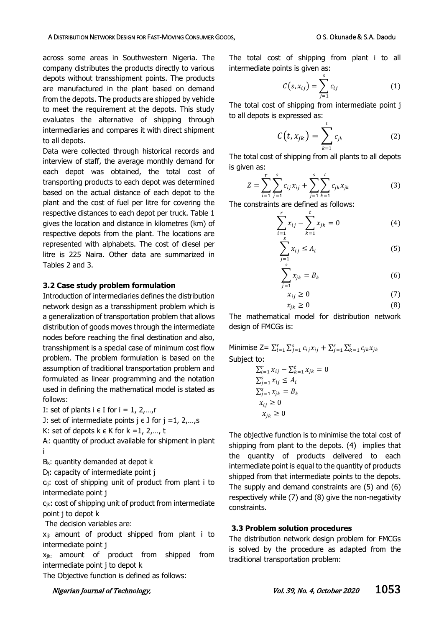#### A DISTRIBUTION NETWORK DESIGN FOR FAST-MOVING CONSUMER GOODS, **O S. Okunade & S.A. Daodu**

across some areas in Southwestern Nigeria. The company distributes the products directly to various depots without transshipment points. The products are manufactured in the plant based on demand from the depots. The products are shipped by vehicle to meet the requirement at the depots. This study evaluates the alternative of shipping through intermediaries and compares it with direct shipment to all depots.

Data were collected through historical records and interview of staff, the average monthly demand for each depot was obtained, the total cost of transporting products to each depot was determined based on the actual distance of each depot to the plant and the cost of fuel per litre for covering the respective distances to each depot per truck. Table 1 gives the location and distance in kilometres (km) of respective depots from the plant. The locations are represented with alphabets. The cost of diesel per litre is 225 Naira. Other data are summarized in Tables 2 and 3.

#### **3.2 Case study problem formulation**

Introduction of intermediaries defines the distribution network design as a transshipment problem which is a generalization of transportation problem that allows distribution of goods moves through the intermediate nodes before reaching the final destination and also, transshipment is a special case of minimum cost flow problem. The problem formulation is based on the assumption of traditional transportation problem and formulated as linear programming and the notation used in defining the mathematical model is stated as follows:

I: set of plants  $i \in I$  for  $i = 1, 2, \ldots, r$ 

J: set of intermediate points  $j \in J$  for  $j = 1, 2, \ldots, s$ 

K: set of depots  $k \in K$  for  $k = 1, 2, ..., t$ 

Ai: quantity of product available for shipment in plant i

 $B_k$ : quantity demanded at depot  $k$ 

D<sub>i</sub>: capacity of intermediate point j

 $c_{ij}$ : cost of shipping unit of product from plant i to intermediate point j

 $c_{jk}$ : cost of shipping unit of product from intermediate point j to depot k

The decision variables are:

 $x_{ij}$ : amount of product shipped from plant i to intermediate point j

 $x_{jk}$ : amount of product from shipped from intermediate point j to depot k

The Objective function is defined as follows:

The total cost of shipping from plant i to all intermediate points is given as:

$$
C(s, x_{ij}) = \sum_{j=1}^{s} c_{ij} \tag{1}
$$

The total cost of shipping from intermediate point j to all depots is expressed as:

$$
C(t, x_{jk}) = \sum_{k=1}^{t} c_{jk}
$$
 (2)

The total cost of shipping from all plants to all depots is given as:

$$
Z = \sum_{i=1}^{r} \sum_{j=1}^{s} c_{ij} x_{ij} + \sum_{j=1}^{s} \sum_{k=1}^{t} c_{jk} x_{jk}
$$
(3)

The constraints are defined as follows:

$$
\sum_{i=1}^{r} x_{ij} - \sum_{k=1}^{t} x_{jk} = 0
$$
 (4)

$$
\sum_{j=1}^{s} x_{ij} \le A_i
$$
 (5)

$$
\sum_{j=1}^{s} x_{jk} = B_k \tag{6}
$$

$$
x_{ij} \ge 0 \tag{7}
$$

$$
x_{jk} \ge 0 \tag{8}
$$

The mathematical model for distribution network design of FMCGs is:

Minimise  $Z = \sum_{i=1}^{r} \sum_{j=1}^{s} c_{ij} x_{ij} + \sum_{j=1}^{s} \sum_{k=1}^{t} c_{jk} x_{jk}$ Subject to:  $\sum_{i=1}^{r} x_{ij} - \sum_{k=1}^{t} x_{jk} = 0$  $\sum_{j=1}^{s} x_{ij} \leq A_i$  $\sum_{j=1}^s x_{jk} = B_k$ 

> $x_{ij} \geq 0$  $x_{ik} \geq 0$

The objective function is to minimise the total cost of shipping from plant to the depots. (4) implies that the quantity of products delivered to each intermediate point is equal to the quantity of products shipped from that intermediate points to the depots. The supply and demand constraints are (5) and (6) respectively while (7) and (8) give the non-negativity constraints.

### **3.3 Problem solution procedures**

The distribution network design problem for FMCGs is solved by the procedure as adapted from the traditional transportation problem: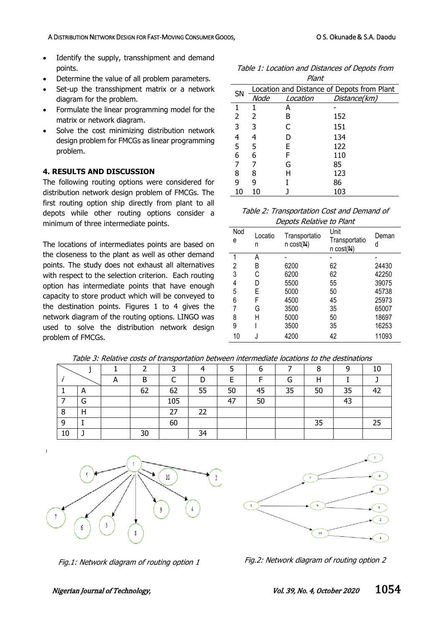- Identify the supply, transshipment and demand points.
- Determine the value of all problem parameters.
- Set-up the transshipment matrix or a network diagram for the problem.
- Formulate the linear programming model for the matrix or network diagram.
- Solve the cost minimizing distribution network design problem for FMCGs as linear programming problem.

## **4. RESULTS AND DISCUSSION**

The following routing options were considered for distribution network design problem of FMCGs. The first routing option ship directly from plant to all depots while other routing options consider a minimum of three intermediate points.

The locations of intermediates points are based on the closeness to the plant as well as other demand points. The study does not exhaust all alternatives with respect to the selection criterion. Each routing option has intermediate points that have enough capacity to store product which will be conveyed to the destination points. Figures 1 to 4 gives the network diagram of the routing options. LINGO was used to solve the distribution network design problem of FMCGs.

|           |                                            | , , , , , , |              |  |  |
|-----------|--------------------------------------------|-------------|--------------|--|--|
| <b>SN</b> | Location and Distance of Depots from Plant |             |              |  |  |
|           | Node                                       | Location    | Distance(km) |  |  |
| 1         |                                            | А           |              |  |  |
| 2         | 2                                          | В           | 152          |  |  |
| 3         | 3                                          | C           | 151          |  |  |
| 4         | 4                                          | D           | 134          |  |  |
| 5         | 5                                          | E           | 122          |  |  |
| 6         | 6                                          | F           | 110          |  |  |
| 7         |                                            | G           | 85           |  |  |
| 8         | 8                                          | Н           | 123          |  |  |
| 9         | 9                                          |             | 86           |  |  |
| 10        | 10                                         |             | 103          |  |  |

Table 1: Location and Distances of Depots from Plant

Table 2: Transportation Cost and Demand of Depots Relative to Plant

| Nod<br>е | Locatio<br>n | Transportatio<br>$n \cos(t)$ | Unit<br>Transportatio<br>n cost(N) | Deman<br>d |  |
|----------|--------------|------------------------------|------------------------------------|------------|--|
| 1        | А            |                              |                                    |            |  |
| 2        | B            | 6200                         | 62                                 | 24430      |  |
| 3        | С            | 6200                         | 62                                 | 42250      |  |
| 4        | D            | 5500                         | 55                                 | 39075      |  |
| 5        | Е            | 5000                         | 50                                 | 45738      |  |
| 6        | F            | 4500                         | 45                                 | 25973      |  |
| 7        | G            | 3500                         | 35                                 | 65007      |  |
| 8        | Н            | 5000                         | 50                                 | 18697      |  |
| 9        |              | 3500                         | 35                                 | 16253      |  |
| 10       |              | 4200                         | 42                                 | 11093      |  |

|    |   |   |    |          |    |    | o  |    |    |    | 10 |
|----|---|---|----|----------|----|----|----|----|----|----|----|
|    |   | n | B  | ⌒<br>֊   | D  |    | ┍  | G  | Н  |    |    |
|    | n |   | 62 | 62       | 55 | 50 | 45 | 35 | 50 | 35 |    |
|    | G |   |    | 105      |    | 47 | 50 |    |    | 43 |    |
| 8  |   |   |    | つつ<br>رے | 22 |    |    |    |    |    |    |
| 9  |   |   |    | 60       |    |    |    |    | 35 |    | 25 |
| 10 |   |   | 30 |          | 34 |    |    |    |    |    |    |

Table 3: Relative costs of transportation between intermediate locations to the destinations



Fig.1: Network diagram of routing option 1



Fig.2: Network diagram of routing option 2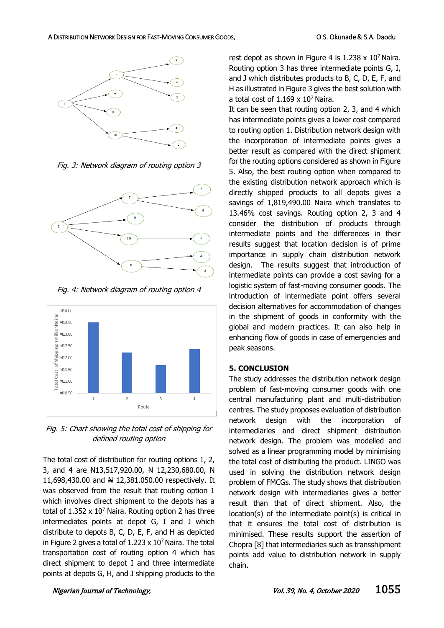

Fig. 3: Network diagram of routing option 3



Fig. 4: Network diagram of routing option 4



Fig. 5: Chart showing the total cost of shipping for defined routing option

The total cost of distribution for routing options 1, 2, 3, and 4 are  $\frac{13}{517}$ , 920.00,  $\frac{11}{51}$  12, 230, 680.00,  $\frac{11}{51}$ 11,698,430.00 and N 12,381.050.00 respectively. It was observed from the result that routing option 1 which involves direct shipment to the depots has a total of  $1.352 \times 10^7$  Naira. Routing option 2 has three intermediates points at depot G, I and J which distribute to depots B, C, D, E, F, and H as depicted in Figure 2 gives a total of  $1.223 \times 10^7$  Naira. The total transportation cost of routing option 4 which has direct shipment to depot I and three intermediate points at depots G, H, and J shipping products to the

rest depot as shown in Figure 4 is  $1.238 \times 10^7$  Naira. Routing option 3 has three intermediate points G, I, and J which distributes products to B, C, D, E, F, and H as illustrated in Figure 3 gives the best solution with a total cost of  $1.169 \times 10^7$  Naira.

It can be seen that routing option 2, 3, and 4 which has intermediate points gives a lower cost compared to routing option 1. Distribution network design with the incorporation of intermediate points gives a better result as compared with the direct shipment for the routing options considered as shown in Figure 5. Also, the best routing option when compared to the existing distribution network approach which is directly shipped products to all depots gives a savings of 1,819,490.00 Naira which translates to 13.46% cost savings. Routing option 2, 3 and 4 consider the distribution of products through intermediate points and the differences in their results suggest that location decision is of prime importance in supply chain distribution network design. The results suggest that introduction of intermediate points can provide a cost saving for a logistic system of fast-moving consumer goods. The introduction of intermediate point offers several decision alternatives for accommodation of changes in the shipment of goods in conformity with the global and modern practices. It can also help in enhancing flow of goods in case of emergencies and peak seasons.

#### **5. CONCLUSION**

The study addresses the distribution network design problem of fast-moving consumer goods with one central manufacturing plant and multi-distribution centres. The study proposes evaluation of distribution network design with the incorporation of intermediaries and direct shipment distribution network design. The problem was modelled and solved as a linear programming model by minimising the total cost of distributing the product. LINGO was used in solving the distribution network design problem of FMCGs. The study shows that distribution network design with intermediaries gives a better result than that of direct shipment. Also, the location(s) of the intermediate point(s) is critical in that it ensures the total cost of distribution is minimised. These results support the assertion of Chopra [8] that intermediaries such as transshipment points add value to distribution network in supply chain.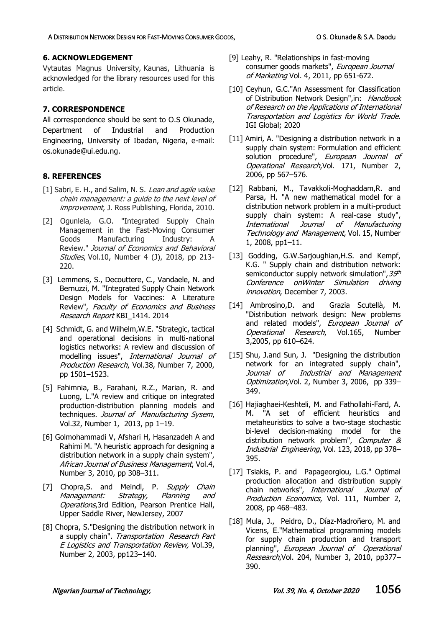## **6. ACKNOWLEDGEMENT**

Vytautas Magnus University, Kaunas, Lithuania is acknowledged for the library resources used for this article.

## **7. CORRESPONDENCE**

All correspondence should be sent to O.S Okunade, Department of Industrial and Production Engineering, University of Ibadan, Nigeria, e-mail: [os.okunade@ui.edu.ng.](mailto:os.okunade@ui.edu.ng)

## **8. REFERENCES**

- [1] Sabri, E. H., and Salim, N. S. Lean and agile value chain management: a guide to the next level of improvement, J. Ross Publishing, Florida, 2010.
- [2] Ogunlela, G.O. "Integrated Supply Chain Management in the Fast-Moving Consumer Goods Manufacturing Industry: A Review." Journal of Economics and Behavioral Studies, Vol.10, Number 4 (J), 2018, pp 213-220.
- [3] Lemmens, S., Decouttere, C., Vandaele, N. and Bernuzzi, M. "Integrated Supply Chain Network Design Models for Vaccines: A Literature Review", Faculty of Economics and Business Research Report KBI\_1414. 2014
- [4] Schmidt, G. and Wilhelm, W.E. "Strategic, tactical and operational decisions in multi-national logistics networks: A review and discussion of modelling issues", International Journal of Production Research, Vol.38, Number 7, 2000, pp 1501–1523.
- [5] Fahimnia, B., Farahani, R.Z., Marian, R. and Luong, L."A review and critique on integrated production-distribution planning models and techniques. Journal of Manufacturing Sysem, Vol.32, Number 1, 2013, pp 1–19.
- [6] Golmohammadi V, Afshari H, Hasanzadeh A and Rahimi M. "A heuristic approach for designing a distribution network in a supply chain system", African Journal of Business Management, Vol.4, Number 3, 2010, pp 308–311.
- [7] Chopra, S. and Meindl, P. Supply Chain Management: Strategy, Planning and Operations, 3rd Edition, Pearson Prentice Hall, Upper Saddle River, NewJersey, 2007
- [8] Chopra, S."Designing the distribution network in a supply chain". Transportation Research Part E Logistics and Transportation Review, Vol.39, Number 2, 2003, pp123–140.
- [9] Leahy, R. "Relationships in fast-moving consumer goods markets", European Journal of Marketing Vol. 4, 2011, pp 651-672.
- [10] Ceyhun, G.C."An Assessment for Classification of Distribution Network Design", in: Handbook of Research on the Applications of International Transportation and Logistics for World Trade. IGI Global; 2020
- [11] Amiri, A. "Designing a distribution network in a supply chain system: Formulation and efficient solution procedure", European Journal of Operational Research,Vol. 171, Number 2, 2006, pp 567–576.
- [12] Rabbani, M., Tavakkoli-Moghaddam,R. and Parsa, H. "A new mathematical model for a distribution network problem in a multi-product supply chain system: A real-case study", International Journal of Manufacturing Technology and Management, Vol. 15, Number 1, 2008, pp1–11.
- [13] Godding, G.W.Sarjoughian, H.S. and Kempf, K.G. " Supply chain and distribution network: semiconductor supply network simulation", 35th Conference onWinter Simulation driving innovation, December 7, 2003.
- [14] Ambrosino,D. and Grazia Scutellà, M. "Distribution network design: New problems and related models", European Journal of Operational Research, Vol.165, Number 3,2005, pp 610–624.
- [15] Shu, J.and Sun, J. "Designing the distribution network for an integrated supply chain", Journal of Industrial and Management Optimization, Vol. 2, Number 3, 2006, pp 339-349.
- [16] Hajiaghaei-Keshteli, M. and Fathollahi-Fard, A. M. "A set of efficient heuristics and metaheuristics to solve a two-stage stochastic bi-level decision-making model for the distribution network problem", Computer & Industrial Engineering, Vol. 123, 2018, pp 378– 395.
- [17] Tsiakis, P. and Papageorgiou, L.G." Optimal production allocation and distribution supply chain networks", International Journal of Production Economics, Vol. 111, Number 2, 2008, pp 468–483.
- [18] Mula, J., Peidro, D., Díaz-Madroñero, M. and Vicens, E."Mathematical programming models for supply chain production and transport planning", European Journal of Operational Ressearch, Vol. 204, Number 3, 2010, pp377-390.